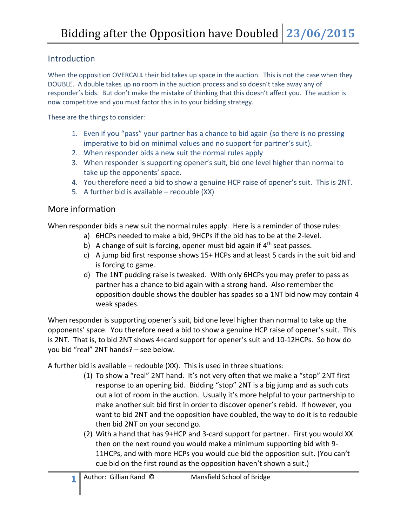## Introduction

When the opposition OVERCAL**L** their bid takes up space in the auction. This is not the case when they DOUBLE. A double takes up no room in the auction process and so doesn't take away any of responder's bids. But don't make the mistake of thinking that this doesn't affect you. The auction is now competitive and you must factor this in to your bidding strategy.

These are the things to consider:

- 1. Even if you "pass" your partner has a chance to bid again (so there is no pressing imperative to bid on minimal values and no support for partner's suit).
- 2. When responder bids a new suit the normal rules apply
- 3. When responder is supporting opener's suit, bid one level higher than normal to take up the opponents' space.
- 4. You therefore need a bid to show a genuine HCP raise of opener's suit. This is 2NT.
- 5. A further bid is available redouble (XX)

## More information

When responder bids a new suit the normal rules apply. Here is a reminder of those rules:

- a) 6HCPs needed to make a bid, 9HCPs if the bid has to be at the 2-level.
- b) A change of suit is forcing, opener must bid again if 4<sup>th</sup> seat passes.
- c) A jump bid first response shows 15+ HCPs and at least 5 cards in the suit bid and is forcing to game.
- d) The 1NT pudding raise is tweaked. With only 6HCPs you may prefer to pass as partner has a chance to bid again with a strong hand. Also remember the opposition double shows the doubler has spades so a 1NT bid now may contain 4 weak spades.

When responder is supporting opener's suit, bid one level higher than normal to take up the opponents' space. You therefore need a bid to show a genuine HCP raise of opener's suit. This is 2NT. That is, to bid 2NT shows 4+card support for opener's suit and 10-12HCPs. So how do you bid "real" 2NT hands? – see below.

A further bid is available – redouble (XX). This is used in three situations:

- (1) To show a "real" 2NT hand. It's not very often that we make a "stop" 2NT first response to an opening bid. Bidding "stop" 2NT is a big jump and as such cuts out a lot of room in the auction. Usually it's more helpful to your partnership to make another suit bid first in order to discover opener's rebid. If however, you want to bid 2NT and the opposition have doubled, the way to do it is to redouble then bid 2NT on your second go.
- (2) With a hand that has 9+HCP and 3-card support for partner. First you would XX then on the next round you would make a minimum supporting bid with 9- 11HCPs, and with more HCPs you would cue bid the opposition suit. (You can't cue bid on the first round as the opposition haven't shown a suit.)